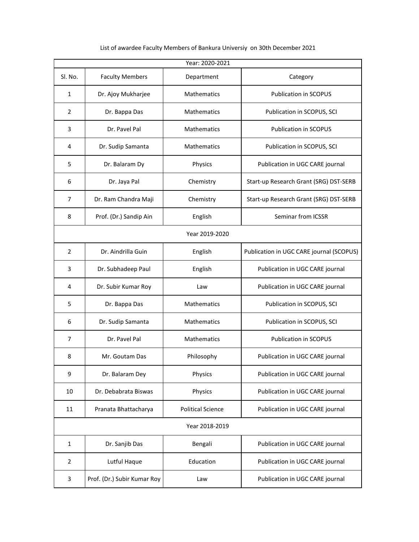| Year: 2020-2021 |                             |                          |                                          |  |
|-----------------|-----------------------------|--------------------------|------------------------------------------|--|
| Sl. No.         | <b>Faculty Members</b>      | Department               | Category                                 |  |
| $\mathbf{1}$    | Dr. Ajoy Mukharjee          | <b>Mathematics</b>       | <b>Publication in SCOPUS</b>             |  |
| $\overline{2}$  | Dr. Bappa Das               | Mathematics              | Publication in SCOPUS, SCI               |  |
| 3               | Dr. Pavel Pal               | Mathematics              | Publication in SCOPUS                    |  |
| 4               | Dr. Sudip Samanta           | <b>Mathematics</b>       | Publication in SCOPUS, SCI               |  |
| 5               | Dr. Balaram Dy              | Physics                  | Publication in UGC CARE journal          |  |
| 6               | Dr. Jaya Pal                | Chemistry                | Start-up Research Grant (SRG) DST-SERB   |  |
| $\overline{7}$  | Dr. Ram Chandra Maji        | Chemistry                | Start-up Research Grant (SRG) DST-SERB   |  |
| 8               | Prof. (Dr.) Sandip Ain      | English                  | Seminar from ICSSR                       |  |
| Year 2019-2020  |                             |                          |                                          |  |
| $\overline{2}$  | Dr. Aindrilla Guin          | English                  | Publication in UGC CARE journal (SCOPUS) |  |
| 3               | Dr. Subhadeep Paul          | English                  | Publication in UGC CARE journal          |  |
| 4               | Dr. Subir Kumar Roy         | Law                      | Publication in UGC CARE journal          |  |
| 5               | Dr. Bappa Das               | Mathematics              | Publication in SCOPUS, SCI               |  |
| 6               | Dr. Sudip Samanta           | <b>Mathematics</b>       | Publication in SCOPUS, SCI               |  |
| $\overline{7}$  | Dr. Pavel Pal               | <b>Mathematics</b>       | <b>Publication in SCOPUS</b>             |  |
| 8               | Mr. Goutam Das              | Philosophy               | Publication in UGC CARE journal          |  |
| 9               | Dr. Balaram Dey             | Physics                  | Publication in UGC CARE journal          |  |
| 10              | Dr. Debabrata Biswas        | Physics                  | Publication in UGC CARE journal          |  |
| 11              | Pranata Bhattacharya        | <b>Political Science</b> | Publication in UGC CARE journal          |  |
| Year 2018-2019  |                             |                          |                                          |  |
| 1               | Dr. Sanjib Das              | Bengali                  | Publication in UGC CARE journal          |  |
| $\overline{2}$  | Lutful Haque                | Education                | Publication in UGC CARE journal          |  |
| 3               | Prof. (Dr.) Subir Kumar Roy | Law                      | Publication in UGC CARE journal          |  |

List of awardee Faculty Members of Bankura Universiy on 30th December 2021